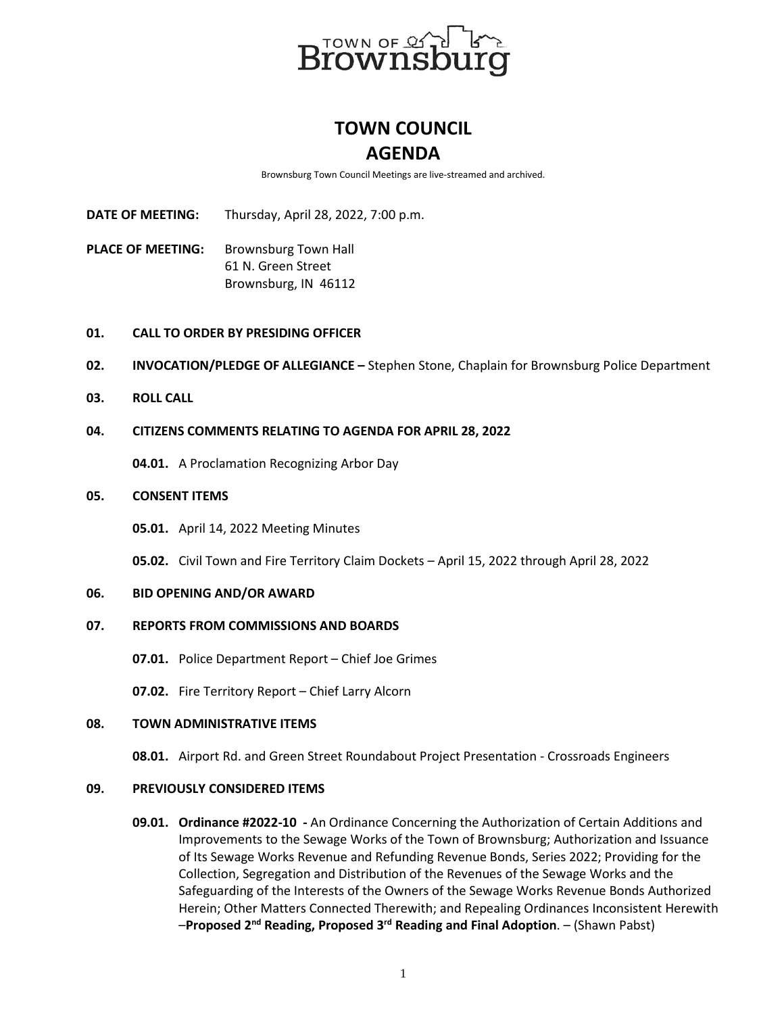

# **TOWN COUNCIL AGENDA**

Brownsburg Town Council Meetings are live-streamed and archived.

**DATE OF MEETING:** Thursday, April 28, 2022, 7:00 p.m.

PLACE OF MEETING: Brownsburg Town Hall 61 N. Green Street Brownsburg, IN 46112

## **01. CALL TO ORDER BY PRESIDING OFFICER**

- **02. INVOCATION/PLEDGE OF ALLEGIANCE –** Stephen Stone, Chaplain for Brownsburg Police Department
- **03. ROLL CALL**

## **04. CITIZENS COMMENTS RELATING TO AGENDA FOR APRIL 28, 2022**

**04.01.** A Proclamation Recognizing Arbor Day

## **05. CONSENT ITEMS**

**05.01.** April 14, 2022 Meeting Minutes

**05.02.** Civil Town and Fire Territory Claim Dockets – April 15, 2022 through April 28, 2022

#### **06. BID OPENING AND/OR AWARD**

#### **07. REPORTS FROM COMMISSIONS AND BOARDS**

**07.01.** Police Department Report – Chief Joe Grimes

**07.02.** Fire Territory Report – Chief Larry Alcorn

#### **08. TOWN ADMINISTRATIVE ITEMS**

**08.01.** Airport Rd. and Green Street Roundabout Project Presentation - Crossroads Engineers

## **09. PREVIOUSLY CONSIDERED ITEMS**

**09.01. Ordinance #2022-10 -** An Ordinance Concerning the Authorization of Certain Additions and Improvements to the Sewage Works of the Town of Brownsburg; Authorization and Issuance of Its Sewage Works Revenue and Refunding Revenue Bonds, Series 2022; Providing for the Collection, Segregation and Distribution of the Revenues of the Sewage Works and the Safeguarding of the Interests of the Owners of the Sewage Works Revenue Bonds Authorized Herein; Other Matters Connected Therewith; and Repealing Ordinances Inconsistent Herewith –**Proposed 2nd Reading, Proposed 3rd Reading and Final Adoption**. – (Shawn Pabst)